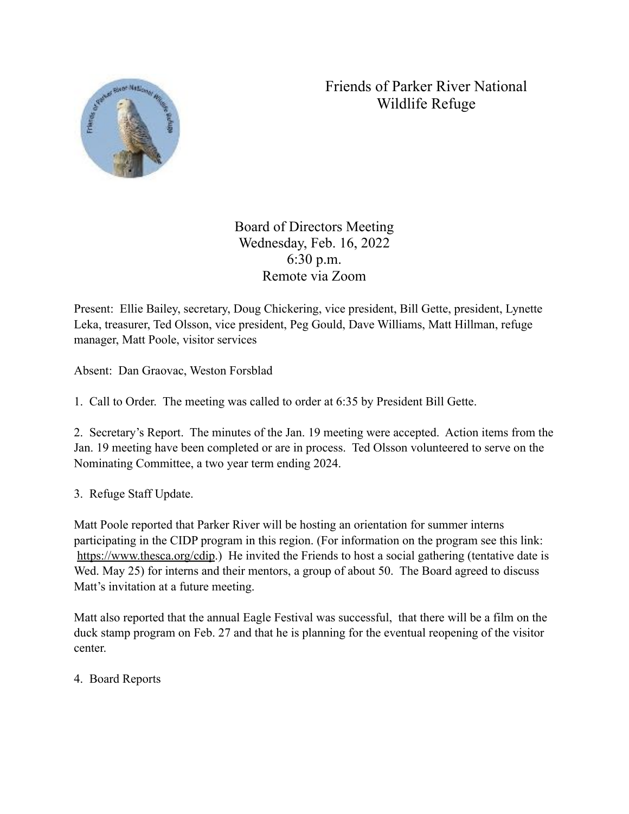## Friends of Parker River National Wildlife Refuge



Board of Directors Meeting Wednesday, Feb. 16, 2022 6:30 p.m. Remote via Zoom

Present: Ellie Bailey, secretary, Doug Chickering, vice president, Bill Gette, president, Lynette Leka, treasurer, Ted Olsson, vice president, Peg Gould, Dave Williams, Matt Hillman, refuge manager, Matt Poole, visitor services

Absent: Dan Graovac, Weston Forsblad

1. Call to Order. The meeting was called to order at 6:35 by President Bill Gette.

2. Secretary's Report. The minutes of the Jan. 19 meeting were accepted. Action items from the Jan. 19 meeting have been completed or are in process. Ted Olsson volunteered to serve on the Nominating Committee, a two year term ending 2024.

3. Refuge Staff Update.

Matt Poole reported that Parker River will be hosting an orientation for summer interns participating in the CIDP program in this region. (For information on the program see this link: <https://www.thesca.org/cdip>.) He invited the Friends to host a social gathering (tentative date is Wed. May 25) for interns and their mentors, a group of about 50. The Board agreed to discuss Matt's invitation at a future meeting.

Matt also reported that the annual Eagle Festival was successful, that there will be a film on the duck stamp program on Feb. 27 and that he is planning for the eventual reopening of the visitor center.

4. Board Reports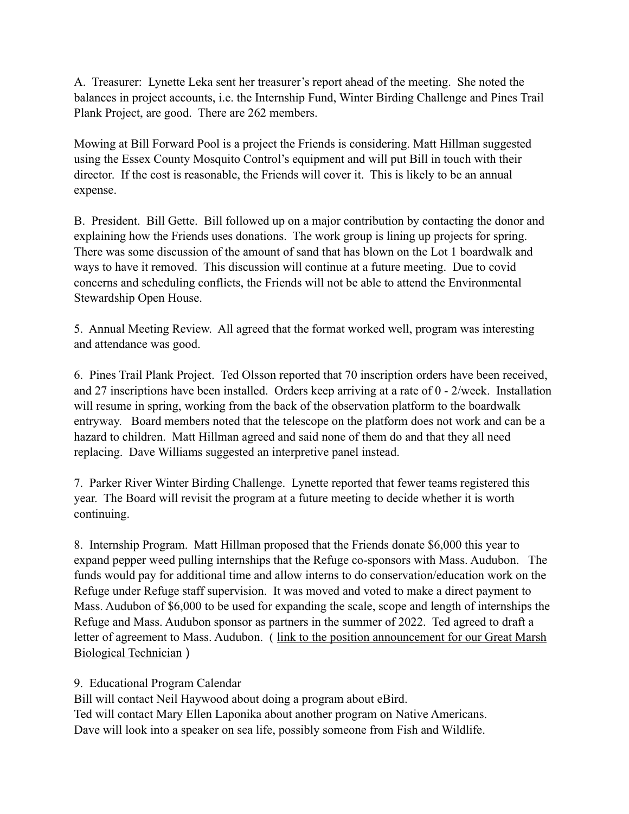A. Treasurer: Lynette Leka sent her treasurer's report ahead of the meeting. She noted the balances in project accounts, i.e. the Internship Fund, Winter Birding Challenge and Pines Trail Plank Project, are good. There are 262 members.

Mowing at Bill Forward Pool is a project the Friends is considering. Matt Hillman suggested using the Essex County Mosquito Control's equipment and will put Bill in touch with their director. If the cost is reasonable, the Friends will cover it. This is likely to be an annual expense.

B. President. Bill Gette. Bill followed up on a major contribution by contacting the donor and explaining how the Friends uses donations. The work group is lining up projects for spring. There was some discussion of the amount of sand that has blown on the Lot 1 boardwalk and ways to have it removed. This discussion will continue at a future meeting. Due to covid concerns and scheduling conflicts, the Friends will not be able to attend the Environmental Stewardship Open House.

5. Annual Meeting Review. All agreed that the format worked well, program was interesting and attendance was good.

6. Pines Trail Plank Project. Ted Olsson reported that 70 inscription orders have been received, and 27 inscriptions have been installed. Orders keep arriving at a rate of 0 - 2/week. Installation will resume in spring, working from the back of the observation platform to the boardwalk entryway. Board members noted that the telescope on the platform does not work and can be a hazard to children. Matt Hillman agreed and said none of them do and that they all need replacing. Dave Williams suggested an interpretive panel instead.

7. Parker River Winter Birding Challenge. Lynette reported that fewer teams registered this year. The Board will revisit the program at a future meeting to decide whether it is worth continuing.

8. Internship Program. Matt Hillman proposed that the Friends donate \$6,000 this year to expand pepper weed pulling internships that the Refuge co-sponsors with Mass. Audubon. The funds would pay for additional time and allow interns to do conservation/education work on the Refuge under Refuge staff supervision. It was moved and voted to make a direct payment to Mass. Audubon of \$6,000 to be used for expanding the scale, scope and length of internships the Refuge and Mass. Audubon sponsor as partners in the summer of 2022. Ted agreed to draft a letter of agreement to Mass. Audubon. ( link to the position announcement for our Great Marsh [Biological Technician](https://gcc02.safelinks.protection.outlook.com/?url=https%3A%2F%2Fwww.massaudubon.org%2Fjobs%2Fgreat-marsh-biological-technician&data=04%7C01%7Cmatthew_hillman%40fws.gov%7Cb5c4f78d25f54a111d2d08d9f315b63c%7C0693b5ba4b184d7b9341f32f400a5494%7C0%7C0%7C637808096850816631%7CUnknown%7CTWFpbGZsb3d8eyJWIjoiMC4wLjAwMDAiLCJQIjoiV2luMzIiLCJBTiI6Ik1haWwiLCJXVCI6Mn0%3D%7C3000&sdata=fd4%2BGa7oPqaXJvrTHE4mafMuuMwn9MsrCRIXXQOR5hE%3D&reserved=0) )

9. Educational Program Calendar

Bill will contact Neil Haywood about doing a program about eBird. Ted will contact Mary Ellen Laponika about another program on Native Americans. Dave will look into a speaker on sea life, possibly someone from Fish and Wildlife.